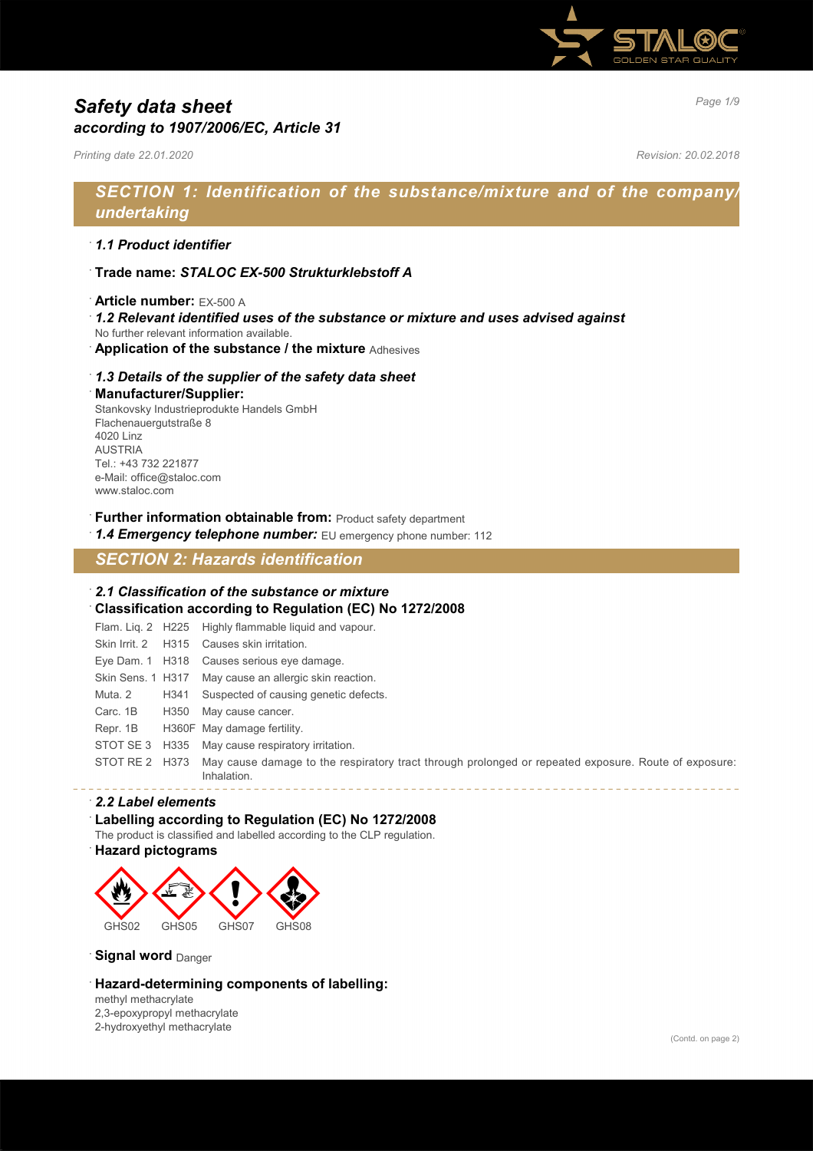

# *Page 1/9 Safety data sheet according to 1907/2006/EC, Article 31*

*Printing date 22.01.2020 Revision: 20.02.2018*

# *SECTION 1: Identification of the substance/mixture and of the company/ undertaking*

## · *1.1 Product identifier*

· **Trade name:** *STALOC EX-500 Strukturklebstoff A*

#### · **Article number:** EX-500 A

- · *1.2 Relevant identified uses of the substance or mixture and uses advised against*
- No further relevant information available.
- · **Application of the substance / the mixture** Adhesives

### · *1.3 Details of the supplier of the safety data sheet*

#### · **Manufacturer/Supplier:**

Stankovsky Industrieprodukte Handels GmbH Flachenauergutstraße 8 4020 Linz AUSTRIA Tel.: +43 732 221877 e-Mail: office@staloc.com www.staloc.com

- **Further information obtainable from:** Product safety department
- 1.4 **Emergency telephone number:** EU emergency phone number: 112

# *SECTION 2: Hazards identification*

### · *2.1 Classification of the substance or mixture* · **Classification according to Regulation (EC) No 1272/2008**

Flam. Liq. 2 H225 Highly flammable liquid and vapour. Skin Irrit. 2 H315 Causes skin irritation. Eye Dam. 1 H318 Causes serious eye damage. Skin Sens. 1 H317 May cause an allergic skin reaction. Muta. 2 H341 Suspected of causing genetic defects. Carc. 1B H350 May cause cancer. Repr. 1B H360F May damage fertility. STOT SE 3 H335 May cause respiratory irritation. STOT RE 2 H373 May cause damage to the respiratory tract through prolonged or repeated exposure. Route of exposure: Inhalation.

### · *2.2 Label elements*

#### Labelling according to Regulation (EC) No 1272/2008

- The product is classified and labelled according to the CLP regulation.
- · **Hazard pictograms**



**Signal word** Danger

### · **Hazard-determining components of labelling:**

methyl methacrylate 2,3-epoxypropyl methacrylate 2-hydroxyethyl methacrylate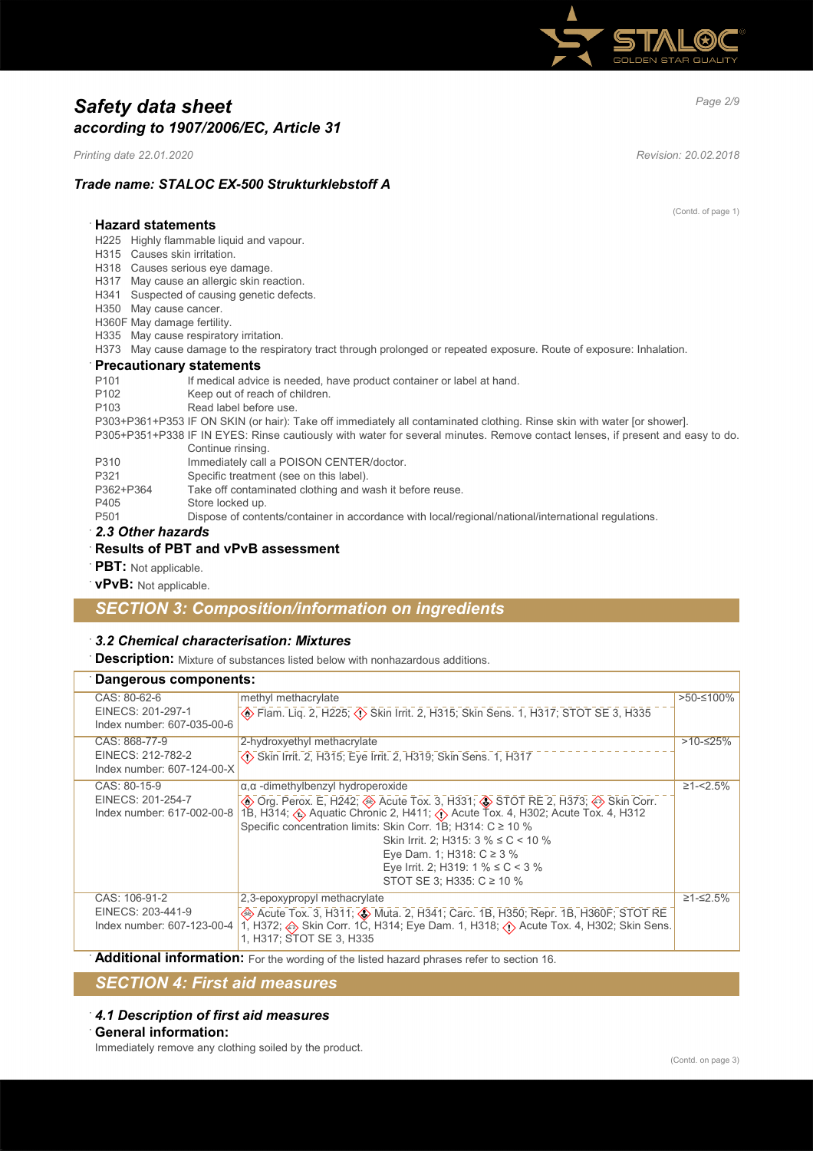

# *Page 2/9 Safety data sheet according to 1907/2006/EC, Article 31*

*Printing date 22.01.2020 Revision: 20.02.2018*

# *Trade name: STALOC EX-500 Strukturklebstoff A*

(Contd. of page 1)

# · **Hazard statements**

- H225 Highly flammable liquid and vapour.
- H315 Causes skin irritation.
- H318 Causes serious eye damage.
- H317 May cause an allergic skin reaction.
- H341 Suspected of causing genetic defects.
- H350 May cause cancer.
- H360F May damage fertility.
- H335 May cause respiratory irritation.
- H373 May cause damage to the respiratory tract through prolonged or repeated exposure. Route of exposure: Inhalation.

#### · **Precautionary statements**

| P <sub>101</sub> | If medical advice is needed, have product container or label at hand.                                                         |
|------------------|-------------------------------------------------------------------------------------------------------------------------------|
| P <sub>102</sub> | Keep out of reach of children.                                                                                                |
| P <sub>103</sub> | Read label before use.                                                                                                        |
|                  | P303+P361+P353 IF ON SKIN (or hair): Take off immediately all contaminated clothing. Rinse skin with water [or shower].       |
|                  | P305+P351+P338 IF IN EYES: Rinse cautiously with water for several minutes. Remove contact lenses, if present and easy to do. |
|                  | Continue rinsing.                                                                                                             |

- 
- P310 Immediately call a POISON CENTER/doctor.<br>P321 Specific treatment (see on this label).
- P321 Specific treatment (see on this label).<br>P362+P364 Take off contaminated clothing and w Take off contaminated clothing and wash it before reuse.
- P405 Store locked up.
- P501 Dispose of contents/container in accordance with local/regional/national/international regulations.
- · *2.3 Other hazards*

#### · **Results of PBT and vPvB assessment**

- · **PBT:** Not applicable.
- · **vPvB:** Not applicable.

## *SECTION 3: Composition/information on ingredients*

#### · *3.2 Chemical characterisation: Mixtures*

**Description:** Mixture of substances listed below with nonhazardous additions.

| Dangerous components:                                            |                                                                                                                                                                                                                                                                                                                                                                                                                                        |                  |
|------------------------------------------------------------------|----------------------------------------------------------------------------------------------------------------------------------------------------------------------------------------------------------------------------------------------------------------------------------------------------------------------------------------------------------------------------------------------------------------------------------------|------------------|
| CAS: 80-62-6<br>EINECS: 201-297-1<br>Index number: 607-035-00-6  | methyl methacrylate<br>Flam. Liq. 2, H225; $\langle \cdot \rangle$ Skin Irrit. 2, H315; Skin Sens. 1, H317; STOT SE 3, H335                                                                                                                                                                                                                                                                                                            | >50-≤100%        |
| CAS: 868-77-9<br>EINECS: 212-782-2<br>Index number: 607-124-00-X | 2-hydroxyethyl methacrylate<br>Skin Irrit. 2, H315; Eye Irrit. 2, H319; Skin Sens. 1, H317                                                                                                                                                                                                                                                                                                                                             | $>10-525%$       |
| CAS: 80-15-9<br>EINECS: 201-254-7<br>Index number: 617-002-00-8  | $\alpha$ , $\alpha$ -dimethylbenzyl hydroperoxide<br><b> ◆ Org. Perox. E, H242; ◆ Acute Tox. 3, H331; ◆ STOT RE 2, H373; ◆ Skin Corr.</b> 1B, H314; ◆ Aquatic Chronic 2, H411; ◆ Acute Tox. 4, H302; Acute Tox. 4, H312<br>Specific concentration limits: Skin Corr. 1B; H314: C ≥ 10 %<br>Skin Irrit. 2; H315: $3\%$ ≤ C < 10 %<br>Eye Dam. 1; H318: $C ≥ 3 %$<br>Eye Irrit. 2; H319: 1 % $\leq$ C < 3 %<br>STOT SE 3; H335: C ≥ 10 % | $\geq 1 - 2.5\%$ |
| CAS: 106-91-2<br>EINECS: 203-441-9<br>Index number: 607-123-00-4 | 2,3-epoxypropyl methacrylate<br>Acute Tox. 3, H311; $\circledast$ Muta. 2, H341; Carc. 1B, H350; Repr. 1B, H360F; STOT RE<br>1, H372; A Skin Corr. 1Č, H314; Eye Dam. 1, H318; A Acute Tox. 4, H302; Skin Sens.<br>1, H317; STOT SE 3, H335                                                                                                                                                                                            | $≥1 - ≤2.5%$     |

Additional information: For the wording of the listed hazard phrases refer to section 16.

# *SECTION 4: First aid measures*

#### · *4.1 Description of first aid measures* · **General information:**

Immediately remove any clothing soiled by the product.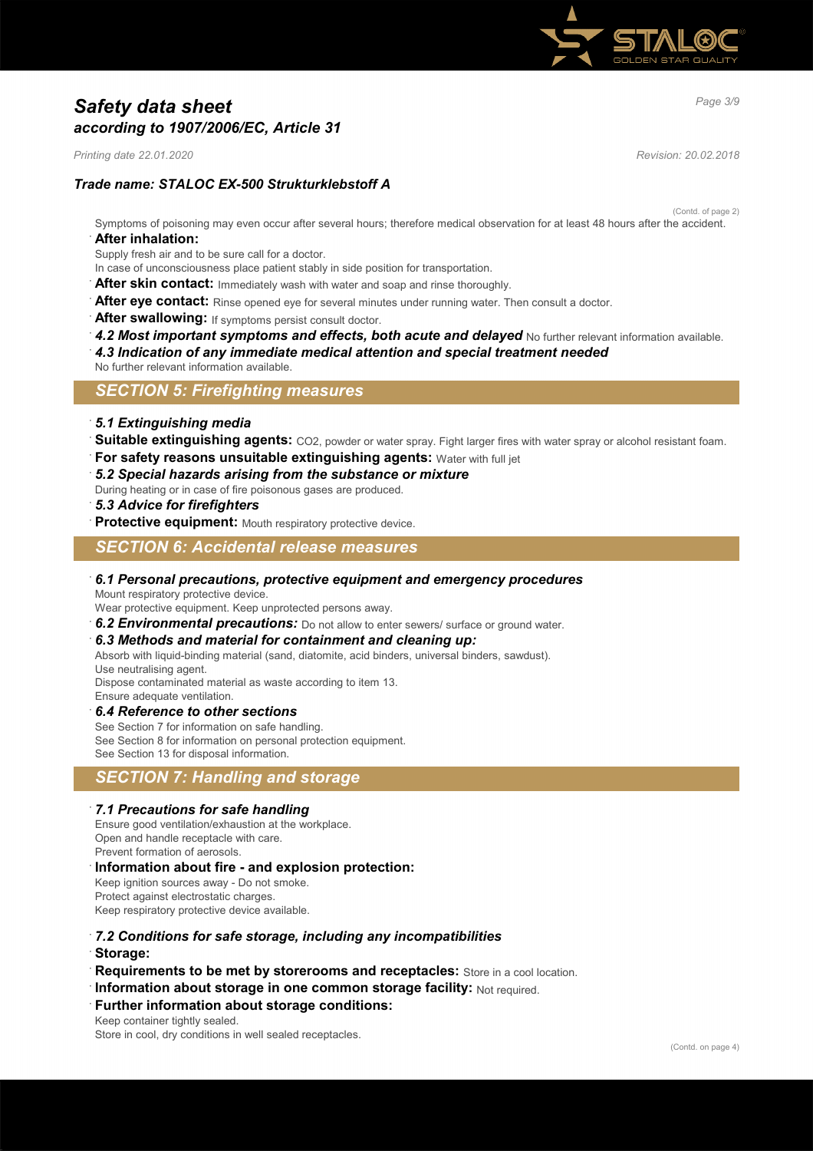

# *Page 3/9 Safety data sheet according to 1907/2006/EC, Article 31*

*Printing date 22.01.2020 Revision: 20.02.2018*

# *Trade name: STALOC EX-500 Strukturklebstoff A*

(Contd. of page 2)

Symptoms of poisoning may even occur after several hours; therefore medical observation for at least 48 hours after the accident. · **After inhalation:**

Supply fresh air and to be sure call for a doctor.

In case of unconsciousness place patient stably in side position for transportation.

- After skin contact: Immediately wash with water and soap and rinse thoroughly.
- After eye contact: Rinse opened eye for several minutes under running water. Then consult a doctor.
- After swallowing: If symptoms persist consult doctor.
- 4.2 Most important symptoms and effects, both acute and delayed No further relevant information available.
- · *4.3 Indication of any immediate medical attention and special treatment needed*
- No further relevant information available.

## *SECTION 5: Firefighting measures*

- · *5.1 Extinguishing media*
- Suitable extinguishing agents: CO2, powder or water spray. Fight larger fires with water spray or alcohol resistant foam.
- **For safety reasons unsuitable extinguishing agents: Water with full jet**
- · *5.2 Special hazards arising from the substance or mixture*

During heating or in case of fire poisonous gases are produced.

- · *5.3 Advice for firefighters*
- **Protective equipment:** Mouth respiratory protective device.

## *SECTION 6: Accidental release measures*

· *6.1 Personal precautions, protective equipment and emergency procedures* Mount respiratory protective device.

Wear protective equipment. Keep unprotected persons away.

6.2 **Environmental precautions:** Do not allow to enter sewers/ surface or ground water.

#### · *6.3 Methods and material for containment and cleaning up:*

Absorb with liquid-binding material (sand, diatomite, acid binders, universal binders, sawdust).

Use neutralising agent.

Dispose contaminated material as waste according to item 13. Ensure adequate ventilation.

· *6.4 Reference to other sections*

See Section 7 for information on safe handling.

See Section 8 for information on personal protection equipment. See Section 13 for disposal information.

# *SECTION 7: Handling and storage*

### · *7.1 Precautions for safe handling*

Ensure good ventilation/exhaustion at the workplace. Open and handle receptacle with care. Prevent formation of aerosols.

- · **Information about fire and explosion protection:** Keep ignition sources away - Do not smoke. Protect against electrostatic charges. Keep respiratory protective device available.
- · *7.2 Conditions for safe storage, including any incompatibilities*
- · **Storage:**
- **Requirements to be met by storerooms and receptacles:** Store in a cool location.
- **Information about storage in one common storage facility: Not required.**
- **Further information about storage conditions:**
- Keep container tightly sealed.

Store in cool, dry conditions in well sealed receptacles.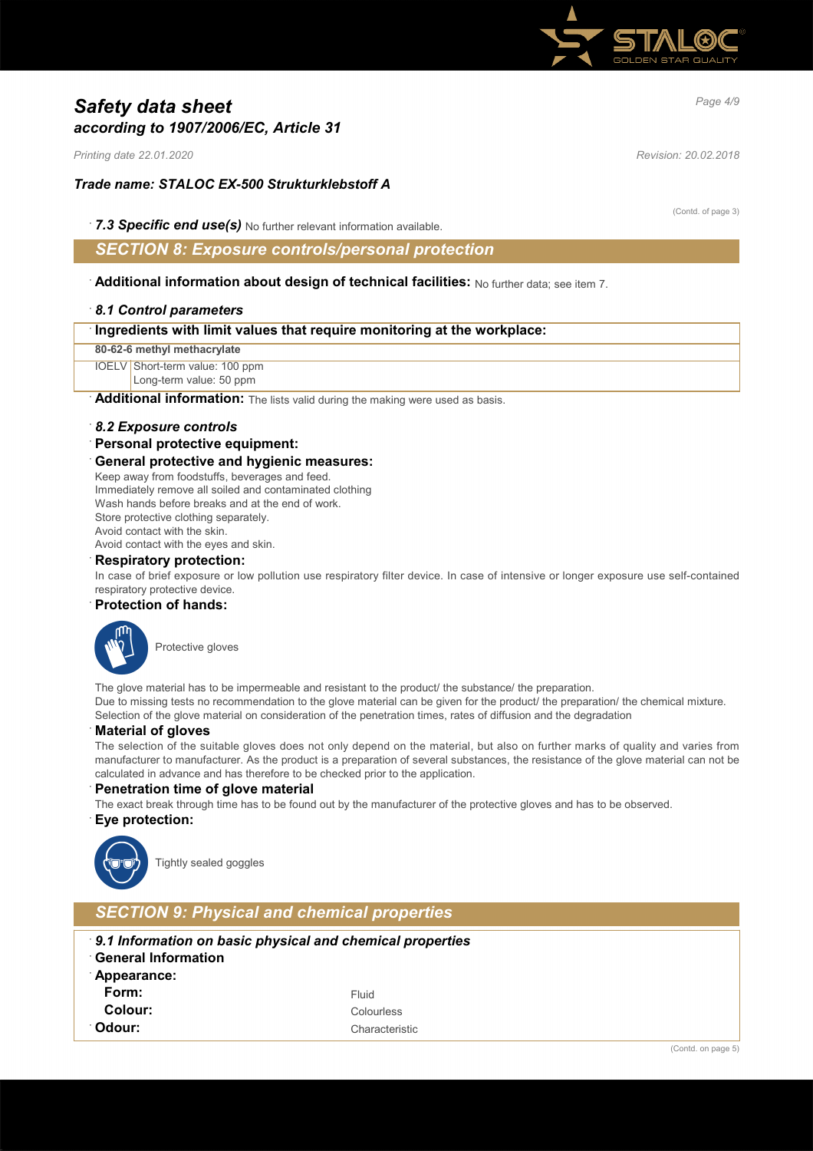

# *Page 4/9 Safety data sheet according to 1907/2006/EC, Article 31*

*Printing date 22.01.2020 Revision: 20.02.2018*

# *Trade name: STALOC EX-500 Strukturklebstoff A*

(Contd. of page 3)

· *7.3 Specific end use(s)* No further relevant information available.

# *SECTION 8: Exposure controls/personal protection*

· **Additional information about design of technical facilities:** No further data; see item 7.

#### · *8.1 Control parameters*

#### · **Ingredients with limit values that require monitoring at the workplace:**

#### **80-62-6 methyl methacrylate**

IOELV Short-term value: 100 ppm

### Long-term value: 50 ppm

Additional information: The lists valid during the making were used as basis.

#### · *8.2 Exposure controls*

#### · **Personal protective equipment:**

#### · **General protective and hygienic measures:**

Keep away from foodstuffs, beverages and feed. Immediately remove all soiled and contaminated clothing Wash hands before breaks and at the end of work Store protective clothing separately. Avoid contact with the skin.

Avoid contact with the eyes and skin.

#### · **Respiratory protection:**

In case of brief exposure or low pollution use respiratory filter device. In case of intensive or longer exposure use self-contained respiratory protective device.

#### · **Protection of hands:**



Protective gloves

The glove material has to be impermeable and resistant to the product/ the substance/ the preparation. Due to missing tests no recommendation to the glove material can be given for the product/ the preparation/ the chemical mixture. Selection of the glove material on consideration of the penetration times, rates of diffusion and the degradation

#### · **Material of gloves**

The selection of the suitable gloves does not only depend on the material, but also on further marks of quality and varies from manufacturer to manufacturer. As the product is a preparation of several substances, the resistance of the glove material can not be calculated in advance and has therefore to be checked prior to the application.

#### **Penetration time of glove material**

The exact break through time has to be found out by the manufacturer of the protective gloves and has to be observed.

#### · **Eye protection:**



Tightly sealed goggles

# *SECTION 9: Physical and chemical properties*

| 9.1 Information on basic physical and chemical properties<br><b>General Information</b> |                |  |
|-----------------------------------------------------------------------------------------|----------------|--|
| Appearance:                                                                             |                |  |
| Form:                                                                                   | Fluid          |  |
| Colour:                                                                                 | Colourless     |  |
| <sup>∴</sup> Odour:                                                                     | Characteristic |  |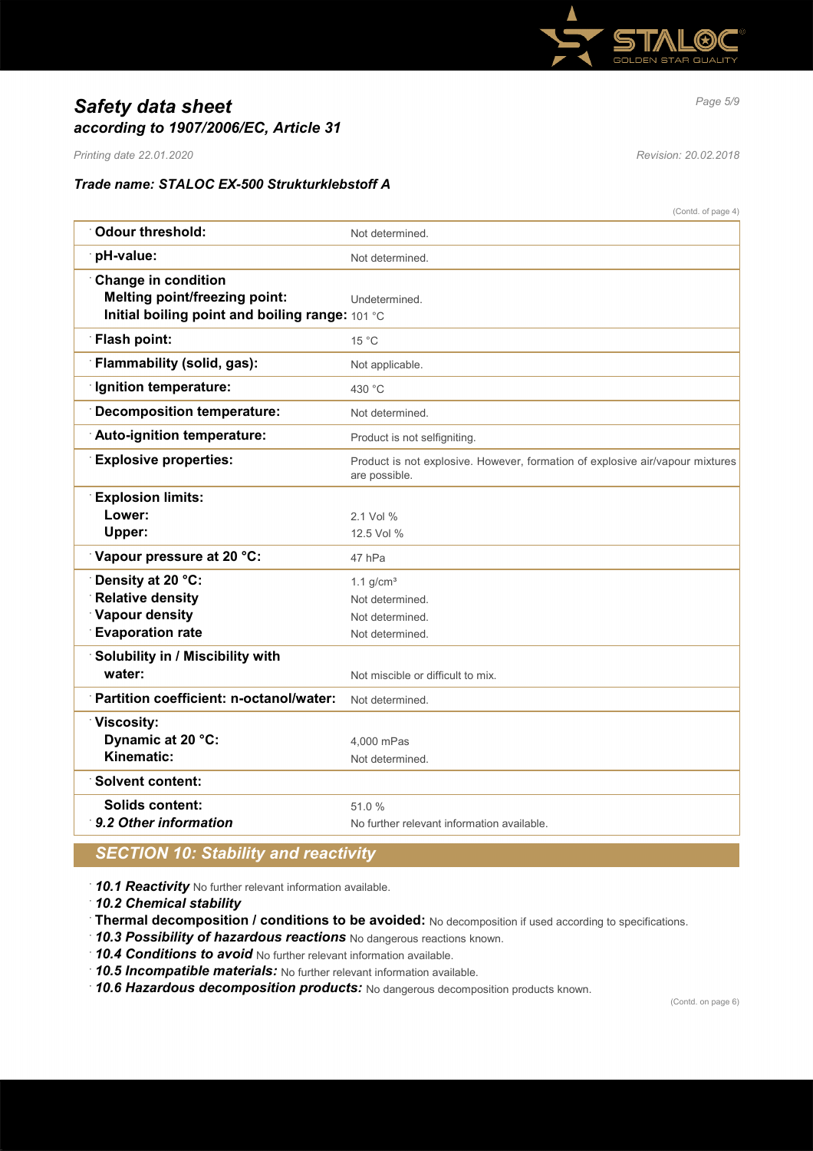

# *Page 5/9 Safety data sheet according to 1907/2006/EC, Article 31*

*Printing date 22.01.2020 Revision: 20.02.2018*

# *Trade name: STALOC EX-500 Strukturklebstoff A*

|                                                                                                                       | (Contd. of page 4)                                                                             |
|-----------------------------------------------------------------------------------------------------------------------|------------------------------------------------------------------------------------------------|
| <b>Odour threshold:</b>                                                                                               | Not determined.                                                                                |
| pH-value:                                                                                                             | Not determined.                                                                                |
| <b>Change in condition</b><br><b>Melting point/freezing point:</b><br>Initial boiling point and boiling range: 101 °C | Undetermined.                                                                                  |
| <b>Flash point:</b>                                                                                                   | $15^{\circ}$ C                                                                                 |
| <b>Flammability (solid, gas):</b>                                                                                     | Not applicable.                                                                                |
| Ignition temperature:                                                                                                 | 430 °C                                                                                         |
| Decomposition temperature:                                                                                            | Not determined.                                                                                |
| Auto-ignition temperature:                                                                                            | Product is not selfigniting.                                                                   |
| <b>Explosive properties:</b>                                                                                          | Product is not explosive. However, formation of explosive air/vapour mixtures<br>are possible. |
| <b>Explosion limits:</b>                                                                                              |                                                                                                |
| Lower:                                                                                                                | 2.1 Vol %                                                                                      |
| Upper:                                                                                                                | 12.5 Vol %                                                                                     |
| Vapour pressure at 20 °C:                                                                                             | 47 hPa                                                                                         |
| Density at 20 °C:                                                                                                     | 1.1 $g/cm3$                                                                                    |
| <b>Relative density</b>                                                                                               | Not determined.                                                                                |
| <b>Vapour density</b>                                                                                                 | Not determined.                                                                                |
| <b>Evaporation rate</b>                                                                                               | Not determined.                                                                                |
| Solubility in / Miscibility with                                                                                      |                                                                                                |
| water:                                                                                                                | Not miscible or difficult to mix.                                                              |
| Partition coefficient: n-octanol/water:                                                                               | Not determined.                                                                                |
| <b>Viscosity:</b>                                                                                                     |                                                                                                |
| Dynamic at 20 °C:                                                                                                     | 4,000 mPas                                                                                     |
| Kinematic:                                                                                                            | Not determined.                                                                                |
| <b>Solvent content:</b>                                                                                               |                                                                                                |
| Solids content:                                                                                                       | 51.0%                                                                                          |
| 9.2 Other information                                                                                                 | No further relevant information available.                                                     |
|                                                                                                                       |                                                                                                |

# *SECTION 10: Stability and reactivity*

· *10.1 Reactivity* No further relevant information available.

· *10.2 Chemical stability*

· **Thermal decomposition / conditions to be avoided:** No decomposition if used according to specifications.

· *10.3 Possibility of hazardous reactions* No dangerous reactions known.

· *10.4 Conditions to avoid* No further relevant information available.

· *10.5 Incompatible materials:* No further relevant information available.

· *10.6 Hazardous decomposition products:* No dangerous decomposition products known.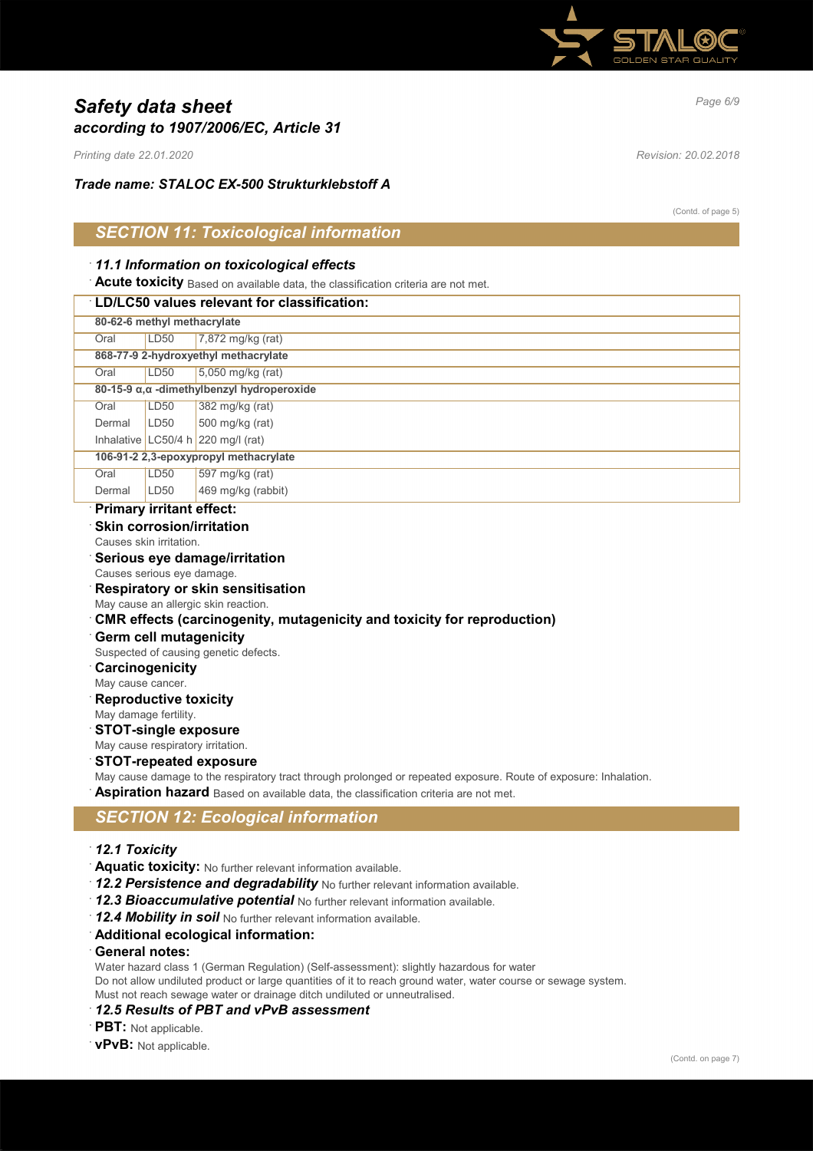

# *Page 6/9 Safety data sheet according to 1907/2006/EC, Article 31*

*Printing date 22.01.2020 Revision: 20.02.2018*

*Trade name: STALOC EX-500 Strukturklebstoff A*

(Contd. of page 5)

# *SECTION 11: Toxicological information*

### · *11.1 Information on toxicological effects*

**Acute toxicity** Based on available data, the classification criteria are not met.

### · **LD/LC50 values relevant for classification:**

|        | 80-62-6 methyl methacrylate                |                                      |  |
|--------|--------------------------------------------|--------------------------------------|--|
| Oral   | LD50                                       | $7,872$ mg/kg (rat)                  |  |
|        | 868-77-9 2-hydroxyethyl methacrylate       |                                      |  |
| Oral   | LD50                                       | 5,050 mg/kg (rat)                    |  |
|        | 80-15-9 α, α -dimethylbenzyl hydroperoxide |                                      |  |
| Oral   | LD <sub>50</sub>                           | 382 mg/kg (rat)                      |  |
| Dermal | LD50                                       | 500 mg/kg (rat)                      |  |
|        |                                            | Inhalative LC50/4 h $220$ mg/l (rat) |  |
|        | 106-91-2 2,3-epoxypropyl methacrylate      |                                      |  |
| Oral   | LD50                                       | 597 mg/kg (rat)                      |  |
| Dermal | LD50                                       | 469 mg/kg (rabbit)                   |  |
|        | Delive can fund to set officials.          |                                      |  |

### · **Primary irritant effect:**

# **Skin corrosion/irritation**

Causes skin irritation.

# · **Serious eye damage/irritation**

Causes serious eye damage.

# · **Respiratory or skin sensitisation**

May cause an allergic skin reaction.

# · **CMR effects (carcinogenity, mutagenicity and toxicity for reproduction)**

- · **Germ cell mutagenicity**
- Suspected of causing genetic defects.
- · **Carcinogenicity**
- May cause cancer.
- **Reproductive toxicity**
- May damage fertility.

## · **STOT-single exposure**

May cause respiratory irritation.

# · **STOT-repeated exposure**

May cause damage to the respiratory tract through prolonged or repeated exposure. Route of exposure: Inhalation. Aspiration hazard Based on available data, the classification criteria are not met.

# *SECTION 12: Ecological information*

## · *12.1 Toxicity*

- · **Aquatic toxicity:** No further relevant information available.
- · *12.2 Persistence and degradability* No further relevant information available.
- · *12.3 Bioaccumulative potential* No further relevant information available.
- · *12.4 Mobility in soil* No further relevant information available.
- · **Additional ecological information:**

#### · **General notes:**

Water hazard class 1 (German Regulation) (Self-assessment): slightly hazardous for water Do not allow undiluted product or large quantities of it to reach ground water, water course or sewage system. Must not reach sewage water or drainage ditch undiluted or unneutralised.

### · *12.5 Results of PBT and vPvB assessment*

- **PBT:** Not applicable.
- · **vPvB:** Not applicable.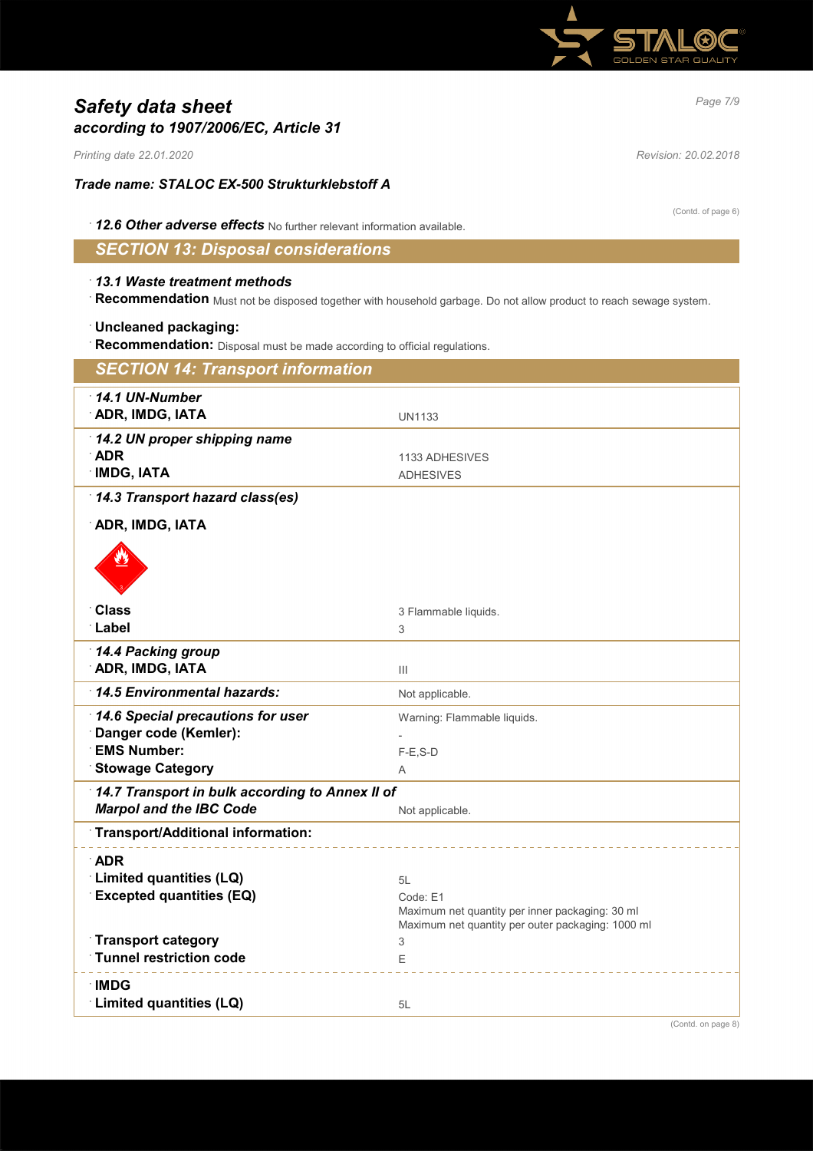

# *Page 7/9 Safety data sheet according to 1907/2006/EC, Article 31*

*Printing date 22.01.2020 Revision: 20.02.2018*

## *Trade name: STALOC EX-500 Strukturklebstoff A*

(Contd. of page 6)

· *12.6 Other adverse effects* No further relevant information available.

# *SECTION 13: Disposal considerations*

### · *13.1 Waste treatment methods*

· **Recommendation** Must not be disposed together with household garbage. Do not allow product to reach sewage system.

## · **Uncleaned packaging:**

· **Recommendation:** Disposal must be made according to official regulations.

| <b>SECTION 14: Transport information</b>                                                                    |                                                                                                                        |  |
|-------------------------------------------------------------------------------------------------------------|------------------------------------------------------------------------------------------------------------------------|--|
| 14.1 UN-Number<br><b>ADR, IMDG, IATA</b>                                                                    | <b>UN1133</b>                                                                                                          |  |
| 14.2 UN proper shipping name<br><b>ADR</b><br><b>IMDG, IATA</b>                                             | 1133 ADHESIVES<br><b>ADHESIVES</b>                                                                                     |  |
| 14.3 Transport hazard class(es)<br><b>ADR, IMDG, IATA</b>                                                   |                                                                                                                        |  |
|                                                                                                             |                                                                                                                        |  |
| <b>Class</b>                                                                                                | 3 Flammable liquids.                                                                                                   |  |
| Label                                                                                                       | 3                                                                                                                      |  |
| 14.4 Packing group<br><b>ADR, IMDG, IATA</b>                                                                | $\mathbf{III}$                                                                                                         |  |
| 14.5 Environmental hazards:                                                                                 | Not applicable.                                                                                                        |  |
| 14.6 Special precautions for user<br>Danger code (Kemler):<br><b>EMS Number:</b><br><b>Stowage Category</b> | Warning: Flammable liquids.<br>$F-E$ , S-D                                                                             |  |
|                                                                                                             | A                                                                                                                      |  |
| 14.7 Transport in bulk according to Annex II of<br><b>Marpol and the IBC Code</b>                           | Not applicable.                                                                                                        |  |
| Transport/Additional information:                                                                           |                                                                                                                        |  |
| <b>ADR</b><br>Limited quantities (LQ)<br><b>Excepted quantities (EQ)</b>                                    | 5L<br>Code: E1<br>Maximum net quantity per inner packaging: 30 ml<br>Maximum net quantity per outer packaging: 1000 ml |  |
| <b>Transport category</b>                                                                                   | 3                                                                                                                      |  |
| <b>Tunnel restriction code</b>                                                                              | Ε                                                                                                                      |  |
| ∴IMDG<br>Limited quantities (LQ)                                                                            | 5L                                                                                                                     |  |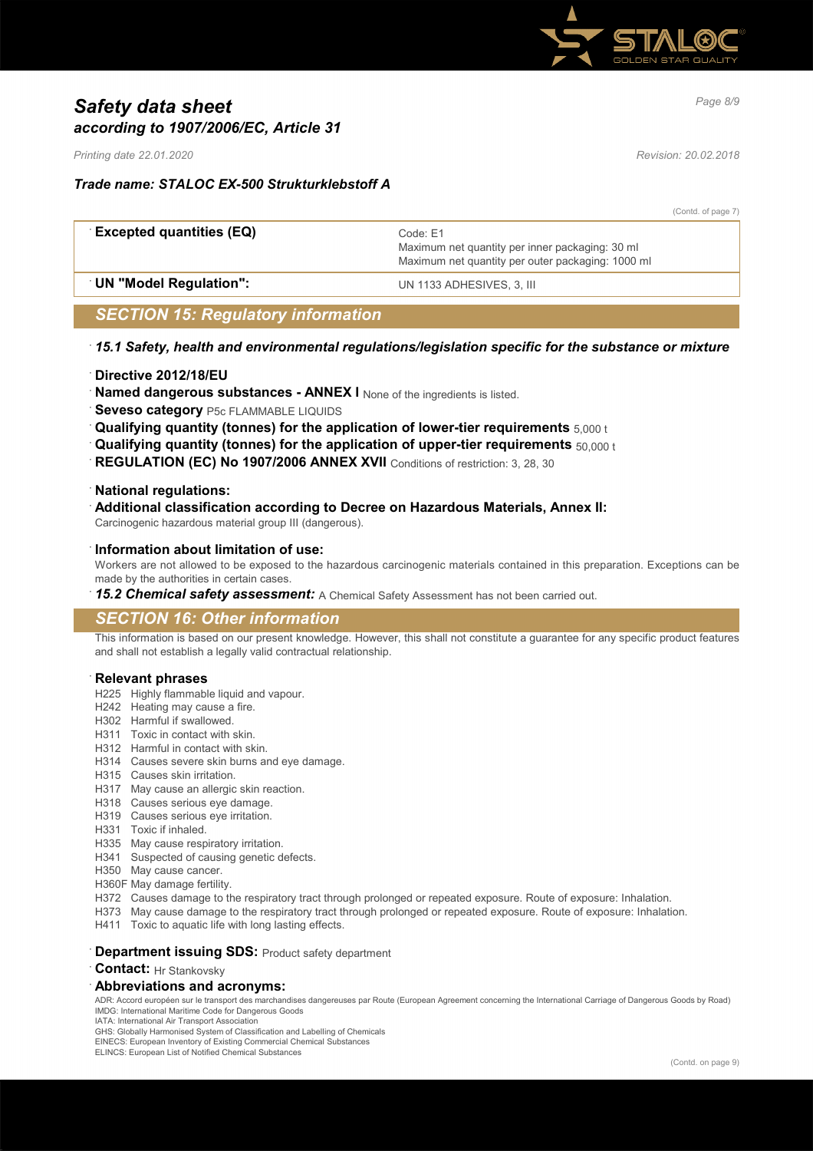

# *Page 8/9 Safety data sheet according to 1907/2006/EC, Article 31*

*Printing date 22.01.2020 Revision: 20.02.2018*

## *Trade name: STALOC EX-500 Strukturklebstoff A*

|                                 |                                                                                                                  | (Contd. of page 7) |
|---------------------------------|------------------------------------------------------------------------------------------------------------------|--------------------|
| <b>Excepted quantities (EQ)</b> | Code: F1<br>Maximum net quantity per inner packaging: 30 ml<br>Maximum net quantity per outer packaging: 1000 ml |                    |
| <b>UN "Model Regulation":</b>   | UN 1133 ADHESIVES, 3. III                                                                                        |                    |
|                                 |                                                                                                                  |                    |

# *SECTION 15: Regulatory information*

### · *15.1 Safety, health and environmental regulations/legislation specific for the substance or mixture*

### · **Directive 2012/18/EU**

**Named dangerous substances - ANNEX I** None of the ingredients is listed.

- **Seveso category** P5c FLAMMABLE LIQUIDS
- · **Qualifying quantity (tonnes) for the application of lower-tier requirements** 5,000 t
- · **Qualifying quantity (tonnes) for the application of upper-tier requirements** 50,000 t
- **REGULATION (EC) No 1907/2006 ANNEX XVII** Conditions of restriction: 3, 28, 30

#### · **National regulations:**

· **Additional classification according to Decree on Hazardous Materials, Annex II:**

Carcinogenic hazardous material group III (dangerous).

#### · **Information about limitation of use:**

Workers are not allowed to be exposed to the hazardous carcinogenic materials contained in this preparation. Exceptions can be made by the authorities in certain cases.

15.2 Chemical safety assessment: A Chemical Safety Assessment has not been carried out.

# *SECTION 16: Other information*

This information is based on our present knowledge. However, this shall not constitute a guarantee for any specific product features and shall not establish a legally valid contractual relationship.

#### · **Relevant phrases**

- H225 Highly flammable liquid and vapour.
- H242 Heating may cause a fire.
- H302 Harmful if swallowed.
- H311 Toxic in contact with skin.
- H312 Harmful in contact with skin.
- H314 Causes severe skin burns and eye damage.
- H315 Causes skin irritation.
- H317 May cause an allergic skin reaction.
- H318 Causes serious eye damage.
- H319 Causes serious eye irritation.
- H331 Toxic if inhaled.
- H335 May cause respiratory irritation.
- H341 Suspected of causing genetic defects.
- H350 May cause cancer.
- H360F May damage fertility.
- H372 Causes damage to the respiratory tract through prolonged or repeated exposure. Route of exposure: Inhalation.
- H373 May cause damage to the respiratory tract through prolonged or repeated exposure. Route of exposure: Inhalation.
- H411 Toxic to aquatic life with long lasting effects.

## **Department issuing SDS: Product safety department**

· **Contact:** Hr Stankovsky

#### · **Abbreviations and acronyms:**

ADR: Accord européen sur le transport des marchandises dangereuses par Route (European Agreement concerning the International Carriage of Dangerous Goods by Road) IMDG: International Maritime Code for Dangerous Goods IATA: International Air Transport Association

GHS: Globally Harmonised System of Classification and Labelling of Chemicals

EINECS: European Inventory of Existing Commercial Chemical Substances

ELINCS: European List of Notified Chemical Substances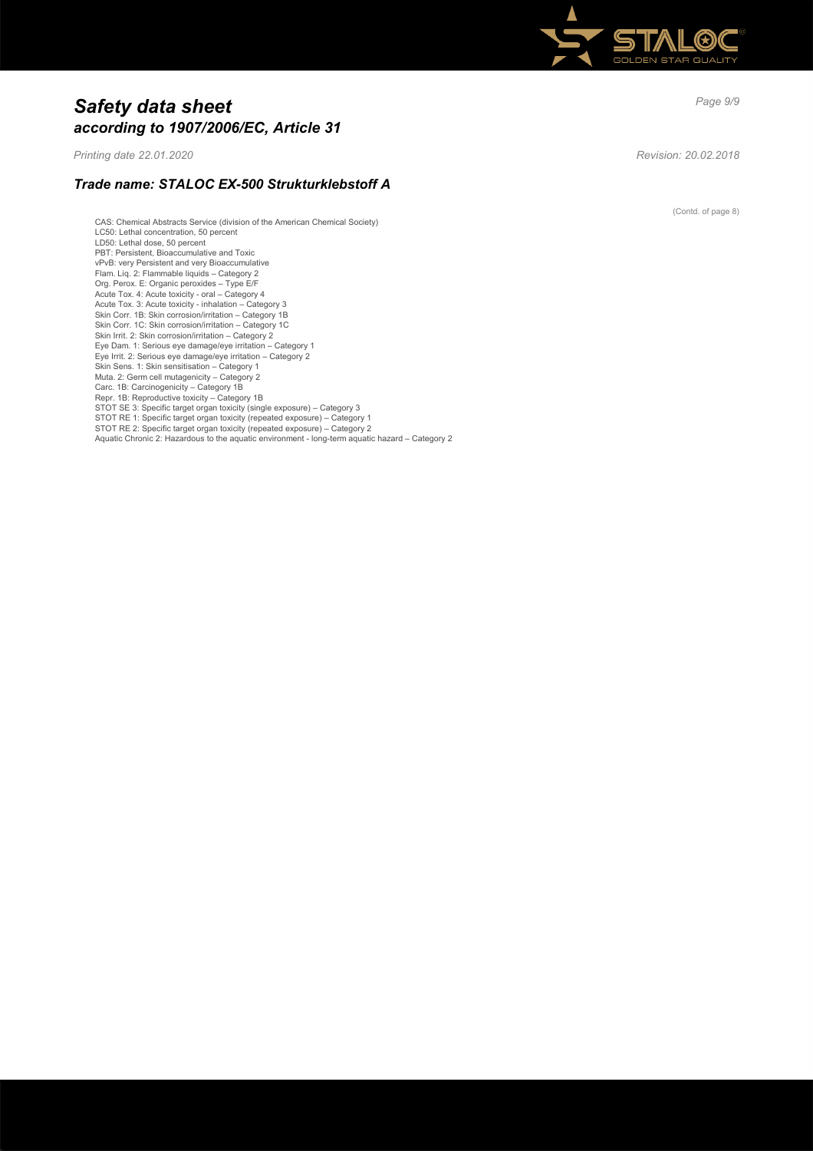

# *Page 9/9 Safety data sheet according to 1907/2006/EC, Article 31*

*Printing date 22.01.2020 Revision: 20.02.2018*

# *Trade name: STALOC EX-500 Strukturklebstoff A*

CAS: Chemical Abstracts Service (division of the American Chemical Society) LC50: Lethal concentration, 50 percent LD50: Lethal dose, 50 percent PBT: Persistent, Bioaccumulative and Toxic vPvB: very Persistent and very Bioaccumulative<br>Flam. Liq. 2: Flammable liquids – Category 2<br>Org. Perox. E: Organic peroxides – Type E/F<br>Acute Tox. 4: Acute toxicity - oral – Category 4<br>Acute Tox. 3: Acute toxicity - inhala Skin Corr. 1C: Skin corrosion/irritation – Category 1C Skin Irrit. 2: Skin corrosion/irritation – Category 2 Eye Dam. 1: Serious eye damage/eye irritation – Category 1 Eye Irrit. 2: Serious eye damage/eye irritation – Category 2 Skin Sens. 1: Skin sensitisation – Category 1 Muta. 2: Germ cell mutagenicity – Category 2 Carc. 1B: Carcinogenicity – Category 1B Repr. 1B: Reproductive toxicity – Category 1B<br>STOT SE 3: Specific target organ toxicity (single exposure) – Category 3<br>STOT RE 1: Specific target organ toxicity (repeated exposure) – Category 1 STOT RE 2: Specific target organ toxicity (repeated exposure) – Category 2 Aquatic Chronic 2: Hazardous to the aquatic environment - long-term aquatic hazard – Category 2

(Contd. of page 8)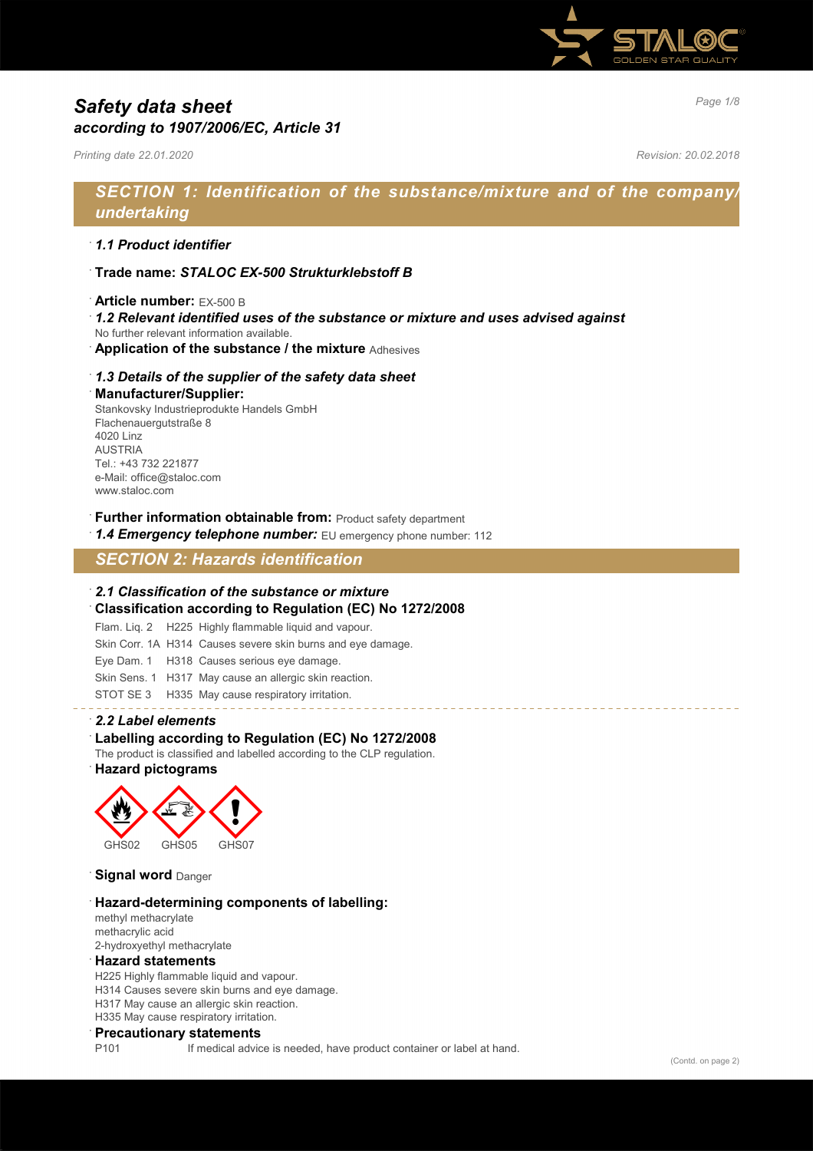

# *Page 1/8 Safety data sheet according to 1907/2006/EC, Article 31*

*Printing date 22.01.2020 Revision: 20.02.2018*

# *SECTION 1: Identification of the substance/mixture and of the company/ undertaking*

## · *1.1 Product identifier*

- · **Trade name:** *STALOC EX-500 Strukturklebstoff B*
- · **Article number:** EX-500 B
- · *1.2 Relevant identified uses of the substance or mixture and uses advised against*
- No further relevant information available.
- · **Application of the substance / the mixture** Adhesives

#### · *1.3 Details of the supplier of the safety data sheet*

#### · **Manufacturer/Supplier:**

Stankovsky Industrieprodukte Handels GmbH Flachenauergutstraße 8 4020 Linz AUSTRIA Tel.: +43 732 221877 e-Mail: office@staloc.com www.staloc.com

- **Further information obtainable from:** Product safety department
- 1.4 **Emergency telephone number:** EU emergency phone number: 112

# *SECTION 2: Hazards identification*

### · *2.1 Classification of the substance or mixture*

- · **Classification according to Regulation (EC) No 1272/2008**
- Flam. Liq. 2 H225 Highly flammable liquid and vapour.
- Skin Corr. 1A H314 Causes severe skin burns and eye damage.
- Eye Dam. 1 H318 Causes serious eye damage.
- Skin Sens. 1 H317 May cause an allergic skin reaction.
- STOT SE 3 H335 May cause respiratory irritation.

#### · *2.2 Label elements*

### Labelling according to Regulation (EC) No 1272/2008

The product is classified and labelled according to the CLP regulation.

# · **Hazard pictograms**



**Signal word** Danger

#### · **Hazard-determining components of labelling:**

methyl methacrylate methacrylic acid 2-hydroxyethyl methacrylate

#### · **Hazard statements**

H225 Highly flammable liquid and vapour. H314 Causes severe skin burns and eye damage. H317 May cause an allergic skin reaction. H335 May cause respiratory irritation.

#### · **Precautionary statements**

P101 If medical advice is needed, have product container or label at hand.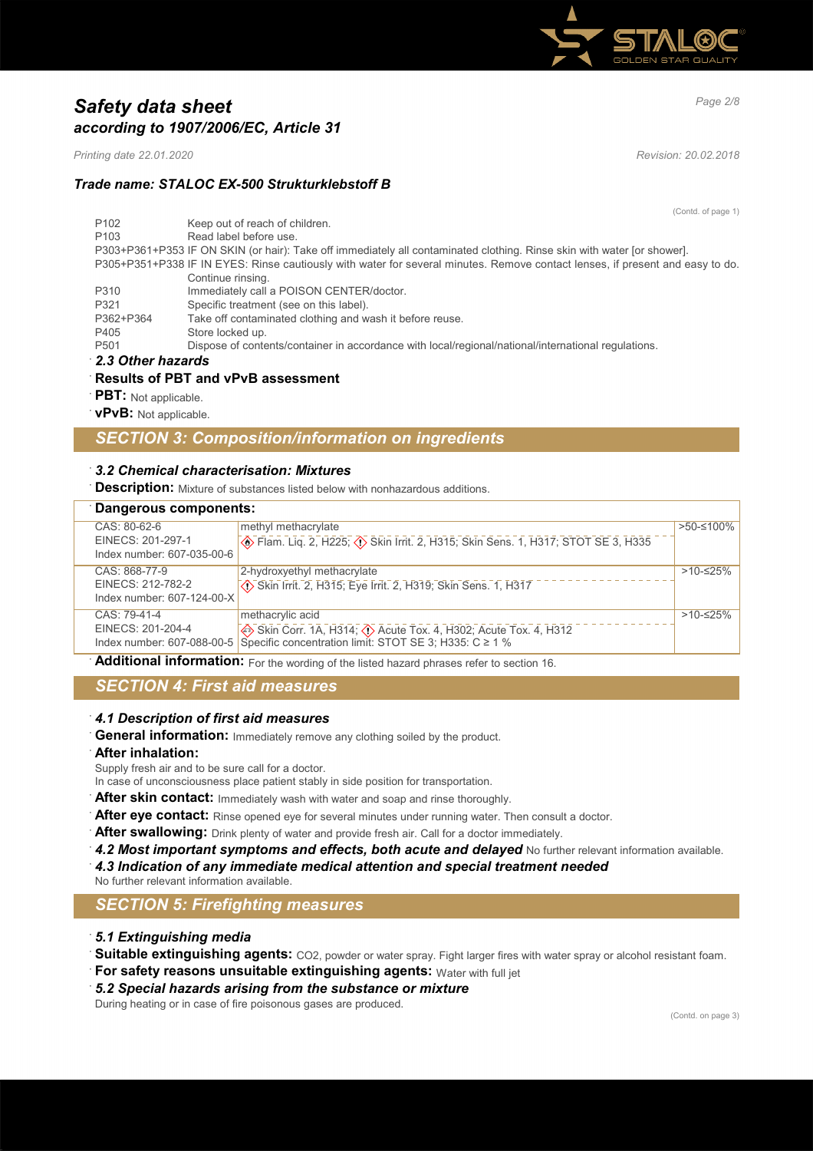

# *Page 2/8 Safety data sheet according to 1907/2006/EC, Article 31*

*Printing date 22.01.2020 Revision: 20.02.2018*

# *Trade name: STALOC EX-500 Strukturklebstoff B*

(Contd. of page 1) P102 Keep out of reach of children. P103 Read label before use. P303+P361+P353 IF ON SKIN (or hair): Take off immediately all contaminated clothing. Rinse skin with water [or shower]. P305+P351+P338 IF IN EYES: Rinse cautiously with water for several minutes. Remove contact lenses, if present and easy to do. Continue rinsing. P310 Immediately call a POISON CENTER/doctor.<br>P321 Specific treatment (see on this label) Specific treatment (see on this label). P362+P364 Take off contaminated clothing and wash it before reuse.<br>P405 Store locked up Store locked up. P501 Dispose of contents/container in accordance with local/regional/national/international regulations.

· *2.3 Other hazards*

# · **Results of PBT and vPvB assessment**

- **PBT**: Not applicable.
- **vPvB:** Not applicable

# *SECTION 3: Composition/information on ingredients*

### · *3.2 Chemical characterisation: Mixtures*

**Description:** Mixture of substances listed below with nonhazardous additions.

| Dangerous components:                                            |                                                                                                                               |            |
|------------------------------------------------------------------|-------------------------------------------------------------------------------------------------------------------------------|------------|
| CAS: 80-62-6<br>EINECS: 201-297-1<br>Index number: 607-035-00-6  | methyl methacrylate<br>Skin Sens. 1, H317; STOT SE 3, H335                                                                    | >50-≤100%  |
| CAS: 868-77-9<br>EINECS: 212-782-2<br>Index number: 607-124-00-X | 2-hydroxyethyl methacrylate<br>Skin Irrit. 2, H315; Eye Irrit. 2, H319; Skin Sens. 1, H317                                    | $>10-≤25%$ |
| CAS: 79-41-4                                                     | methacrylic acid<br>EINECS: 201-204-4<br>Index number: 607-088-00-5<br>Specific concentration limit: STOT SE 3; H335: C ≥ 1 % | $>10-≤25%$ |

Additional information: For the wording of the listed hazard phrases refer to section 16.

# *SECTION 4: First aid measures*

## · *4.1 Description of first aid measures*

General information: Immediately remove any clothing soiled by the product.

#### · **After inhalation:**

Supply fresh air and to be sure call for a doctor.

- In case of unconsciousness place patient stably in side position for transportation.
- After skin contact: Immediately wash with water and soap and rinse thoroughly.
- After eye contact: Rinse opened eye for several minutes under running water. Then consult a doctor.
- After swallowing: Drink plenty of water and provide fresh air. Call for a doctor immediately.
- **4.2 Most important symptoms and effects, both acute and delayed** No further relevant information available. · *4.3 Indication of any immediate medical attention and special treatment needed*
- No further relevant information available.

# *SECTION 5: Firefighting measures*

- · *5.1 Extinguishing media*
- · **Suitable extinguishing agents:** CO2, powder or water spray. Fight larger fires with water spray or alcohol resistant foam.
- **For safety reasons unsuitable extinguishing agents: Water with full jet**
- · *5.2 Special hazards arising from the substance or mixture*

During heating or in case of fire poisonous gases are produced.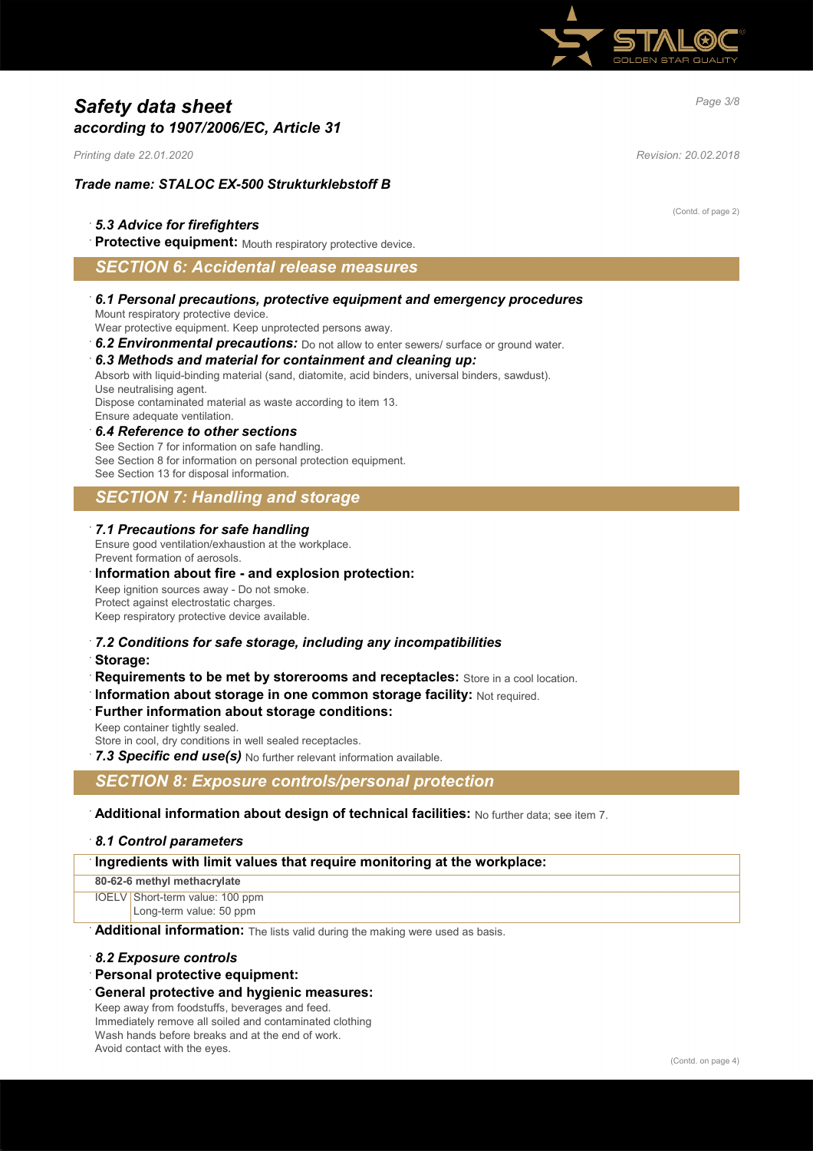

# *Page 3/8 Safety data sheet according to 1907/2006/EC, Article 31*

*Printing date 22.01.2020 Revision: 20.02.2018*

## *Trade name: STALOC EX-500 Strukturklebstoff B*

### · *5.3 Advice for firefighters*

Protective equipment: Mouth respiratory protective device.

# *SECTION 6: Accidental release measures*

#### · *6.1 Personal precautions, protective equipment and emergency procedures* Mount respiratory protective device.

Wear protective equipment. Keep unprotected persons away.

6.2 **Environmental precautions:** Do not allow to enter sewers/ surface or ground water.

# · *6.3 Methods and material for containment and cleaning up:*

Absorb with liquid-binding material (sand, diatomite, acid binders, universal binders, sawdust).

Use neutralising agent.

Dispose contaminated material as waste according to item 13. Ensure adequate ventilation.

#### · *6.4 Reference to other sections*

See Section 7 for information on safe handling. See Section 8 for information on personal protection equipment. See Section 13 for disposal information.

# *SECTION 7: Handling and storage*

#### · *7.1 Precautions for safe handling*

### Ensure good ventilation/exhaustion at the workplace.

Prevent formation of aerosols.

### · **Information about fire - and explosion protection:**

Keep ignition sources away - Do not smoke. Protect against electrostatic charges. Keep respiratory protective device available.

# · *7.2 Conditions for safe storage, including any incompatibilities*

· **Storage:**

**Requirements to be met by storerooms and receptacles:** Store in a cool location.

· **Information about storage in one common storage facility:** Not required.

#### · **Further information about storage conditions:**

Keep container tightly sealed.

Store in cool, dry conditions in well sealed receptacles.

**7.3 Specific end use(s)** No further relevant information available.

### *SECTION 8: Exposure controls/personal protection*

### · **Additional information about design of technical facilities:** No further data; see item 7.

#### · *8.1 Control parameters*

| Ingredients with limit values that require monitoring at the workplace: |  |
|-------------------------------------------------------------------------|--|
| 80-62-6 methyl methacrylate                                             |  |
| IOELV Short-term value: 100 ppm                                         |  |
| Long-term value: 50 ppm                                                 |  |
| - - ----<br>.<br>.                                                      |  |

Additional information: The lists valid during the making were used as basis.

#### · *8.2 Exposure controls*

#### · **Personal protective equipment:**

#### · **General protective and hygienic measures:**

Keep away from foodstuffs, beverages and feed. Immediately remove all soiled and contaminated clothing Wash hands before breaks and at the end of work. Avoid contact with the eyes.

(Contd. of page 2)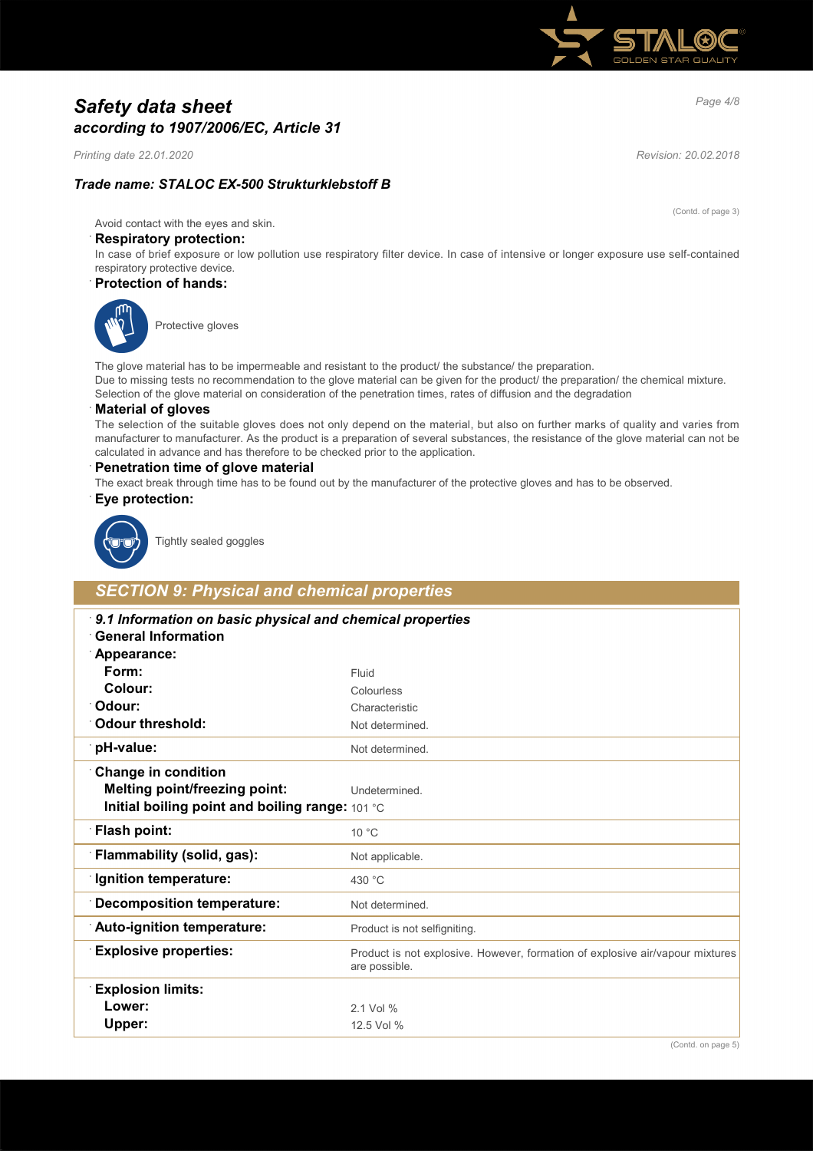

# *Page 4/8 Safety data sheet according to 1907/2006/EC, Article 31*

*Printing date 22.01.2020 Revision: 20.02.2018*

# *Trade name: STALOC EX-500 Strukturklebstoff B*

(Contd. of page 3)

Avoid contact with the eyes and skin.

### · **Respiratory protection:**

In case of brief exposure or low pollution use respiratory filter device. In case of intensive or longer exposure use self-contained respiratory protective device.

#### · **Protection of hands:**



Protective gloves

The glove material has to be impermeable and resistant to the product/ the substance/ the preparation. Due to missing tests no recommendation to the glove material can be given for the product/ the preparation/ the chemical mixture. Selection of the glove material on consideration of the penetration times, rates of diffusion and the degradation

#### · **Material of gloves**

The selection of the suitable gloves does not only depend on the material, but also on further marks of quality and varies from manufacturer to manufacturer. As the product is a preparation of several substances, the resistance of the glove material can not be calculated in advance and has therefore to be checked prior to the application.

#### · **Penetration time of glove material**

The exact break through time has to be found out by the manufacturer of the protective gloves and has to be observed.

#### · **Eye protection:**



Tightly sealed goggles

# *SECTION 9: Physical and chemical properties*

| 9.1 Information on basic physical and chemical properties<br><b>General Information</b> |                                                                                                |  |
|-----------------------------------------------------------------------------------------|------------------------------------------------------------------------------------------------|--|
| Appearance:                                                                             |                                                                                                |  |
| Form:                                                                                   | Fluid                                                                                          |  |
| Colour:                                                                                 | Colourless                                                                                     |  |
| <sup>.</sup> Odour:                                                                     | Characteristic                                                                                 |  |
| Odour threshold:                                                                        | Not determined.                                                                                |  |
| pH-value:                                                                               | Not determined.                                                                                |  |
| <b>Change in condition</b>                                                              |                                                                                                |  |
| <b>Melting point/freezing point:</b>                                                    | Undetermined.                                                                                  |  |
| Initial boiling point and boiling range: 101 °C                                         |                                                                                                |  |
| <b>Flash point:</b>                                                                     | $10^{\circ}$ C                                                                                 |  |
| Flammability (solid, gas):                                                              | Not applicable.                                                                                |  |
| <b>Ignition temperature:</b>                                                            | 430 °C                                                                                         |  |
| <b>Decomposition temperature:</b>                                                       | Not determined.                                                                                |  |
| Auto-ignition temperature:                                                              | Product is not selfigniting.                                                                   |  |
| <b>Explosive properties:</b>                                                            | Product is not explosive. However, formation of explosive air/vapour mixtures<br>are possible. |  |
| <b>Explosion limits:</b>                                                                |                                                                                                |  |
| Lower:                                                                                  | 2.1 Vol %                                                                                      |  |
| Upper:                                                                                  | 12.5 Vol %                                                                                     |  |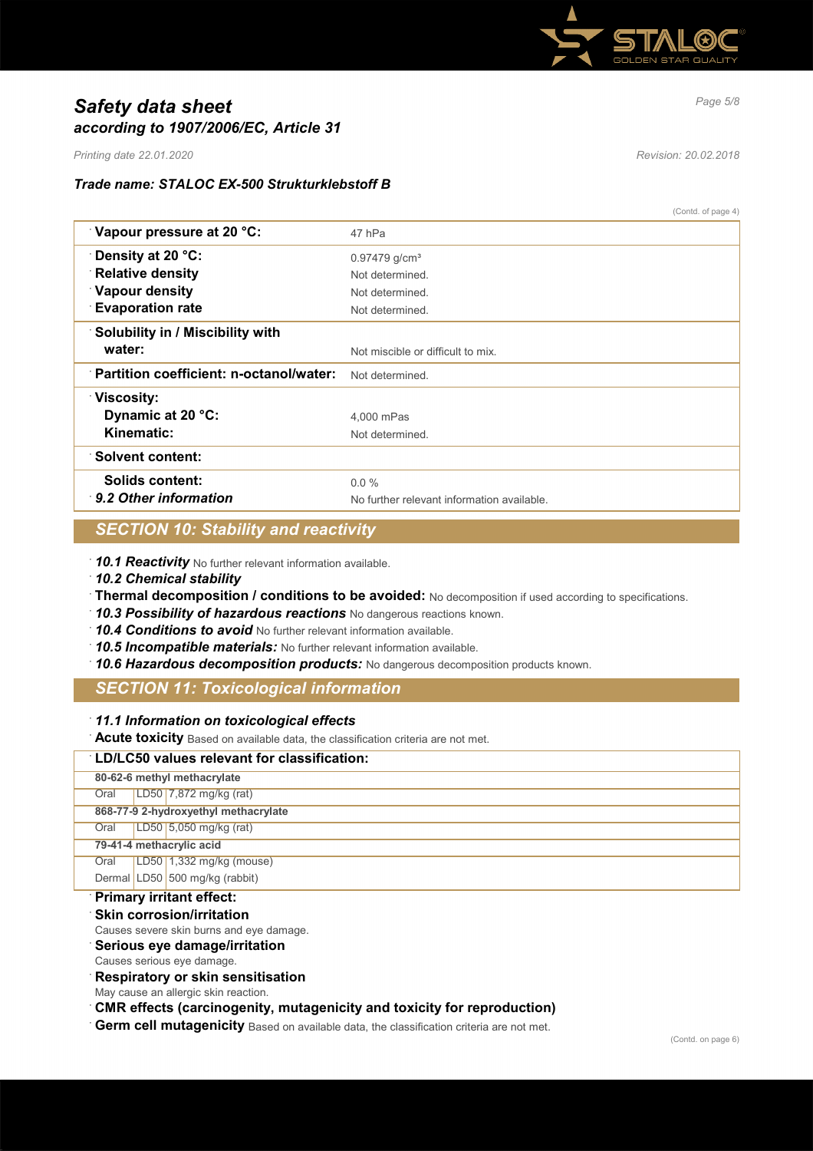

# *Page 5/8 Safety data sheet according to 1907/2006/EC, Article 31*

*Printing date 22.01.2020 Revision: 20.02.2018*

# *Trade name: STALOC EX-500 Strukturklebstoff B*

| (Contd. of page 4) |  |  |
|--------------------|--|--|
|--------------------|--|--|

| Vapour pressure at 20 °C:               | 47 hPa                                     |
|-----------------------------------------|--------------------------------------------|
| Density at 20 °C:                       | $0.97479$ g/cm <sup>3</sup>                |
| <b>Relative density</b>                 | Not determined.                            |
| <b>Vapour density</b>                   | Not determined.                            |
| <b>Evaporation rate</b>                 | Not determined.                            |
| <b>Solubility in / Miscibility with</b> |                                            |
| water:                                  | Not miscible or difficult to mix.          |
| Partition coefficient: n-octanol/water: | Not determined.                            |
| ∵Viscosity:                             |                                            |
| Dynamic at 20 °C:                       | 4.000 mPas                                 |
| Kinematic:                              | Not determined.                            |
| <b>Solvent content:</b>                 |                                            |
| Solids content:                         | $0.0\%$                                    |
| 9.2 Other information                   | No further relevant information available. |

# *SECTION 10: Stability and reactivity*

· *10.1 Reactivity* No further relevant information available.

- · *10.2 Chemical stability*
- · **Thermal decomposition / conditions to be avoided:** No decomposition if used according to specifications.
- · *10.3 Possibility of hazardous reactions* No dangerous reactions known.
- · *10.4 Conditions to avoid* No further relevant information available.
- · *10.5 Incompatible materials:* No further relevant information available.
- · *10.6 Hazardous decomposition products:* No dangerous decomposition products known.

# *SECTION 11: Toxicological information*

### · *11.1 Information on toxicological effects*

· **Acute toxicity** Based on available data, the classification criteria are not met.

| LD/LC50 values relevant for classification: |  |                                |  |  |  |
|---------------------------------------------|--|--------------------------------|--|--|--|
| 80-62-6 methyl methacrylate                 |  |                                |  |  |  |
| Oral                                        |  | LD50 7,872 mg/kg (rat)         |  |  |  |
| 868-77-9 2-hydroxyethyl methacrylate        |  |                                |  |  |  |
| Oral                                        |  | LD50 5,050 mg/kg (rat)         |  |  |  |
| 79-41-4 methacrylic acid                    |  |                                |  |  |  |
| Oral                                        |  | LD50 1,332 mg/kg (mouse)       |  |  |  |
|                                             |  | Dermal LD50 500 mg/kg (rabbit) |  |  |  |

# · **Primary irritant effect:**

- **Skin corrosion/irritation**
- Causes severe skin burns and eye damage.

# · **Serious eye damage/irritation**

Causes serious eye damage.

### · **Respiratory or skin sensitisation**

- May cause an allergic skin reaction.
- · **CMR effects (carcinogenity, mutagenicity and toxicity for reproduction)**
- Germ cell mutagenicity Based on available data, the classification criteria are not met.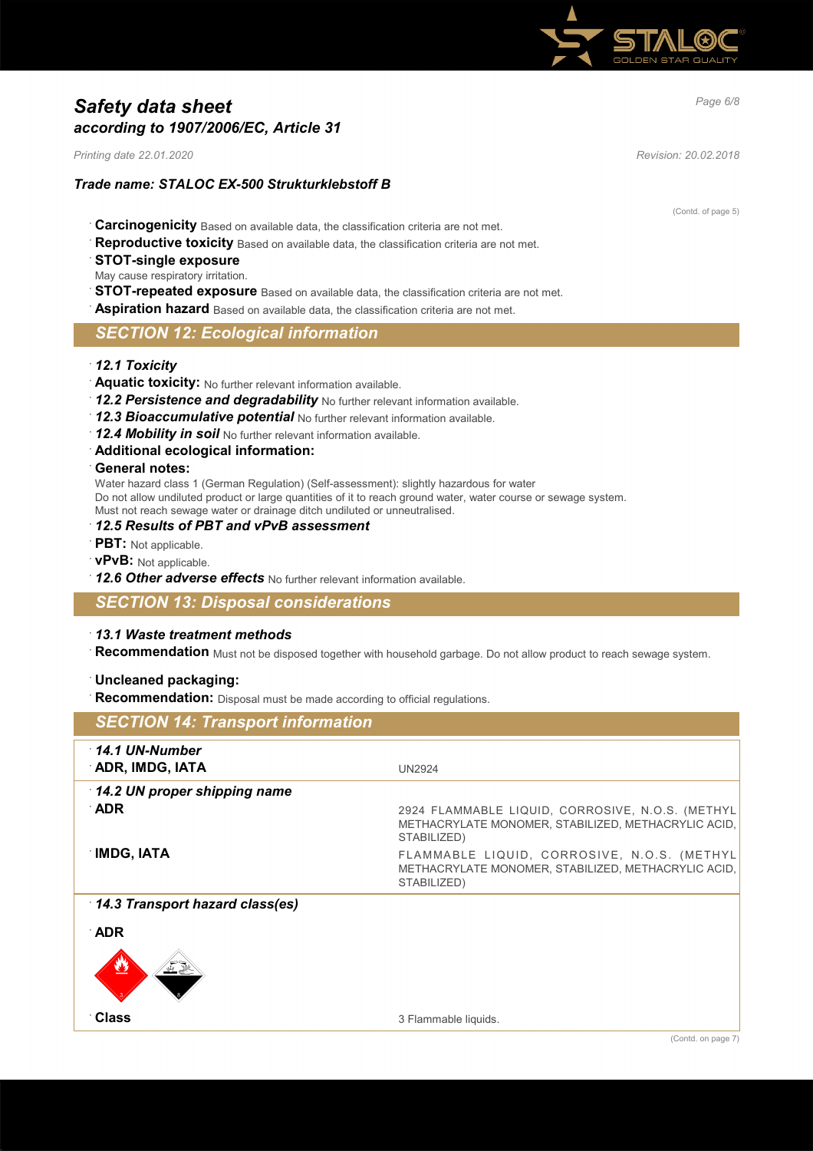

# *Page 6/8 Safety data sheet according to 1907/2006/EC, Article 31*

*Printing date 22.01.2020 Revision: 20.02.2018*

## *Trade name: STALOC EX-500 Strukturklebstoff B*

- · **Carcinogenicity** Based on available data, the classification criteria are not met.
- Reproductive toxicity Based on available data, the classification criteria are not met.
- · **STOT-single exposure**

May cause respiratory irritation.

**STOT-repeated exposure** Based on available data, the classification criteria are not met.

**Aspiration hazard** Based on available data, the classification criteria are not met.

## *SECTION 12: Ecological information*

- · *12.1 Toxicity*
- · **Aquatic toxicity:** No further relevant information available.
- · *12.2 Persistence and degradability* No further relevant information available.
- · *12.3 Bioaccumulative potential* No further relevant information available.
- · *12.4 Mobility in soil* No further relevant information available.
- · **Additional ecological information:**

#### · **General notes:**

Water hazard class 1 (German Regulation) (Self-assessment): slightly hazardous for water Do not allow undiluted product or large quantities of it to reach ground water, water course or sewage system. Must not reach sewage water or drainage ditch undiluted or unneutralised.

#### · *12.5 Results of PBT and vPvB assessment*

- **PBT:** Not applicable.
- · **vPvB:** Not applicable.
- · *12.6 Other adverse effects* No further relevant information available.

### *SECTION 13: Disposal considerations*

#### · *13.1 Waste treatment methods*

· **Recommendation** Must not be disposed together with household garbage. Do not allow product to reach sewage system.

### · **Uncleaned packaging:**

**Recommendation:** Disposal must be made according to official regulations.

| <b>SECTION 14: Transport information</b>  |                                                                                                                        |
|-------------------------------------------|------------------------------------------------------------------------------------------------------------------------|
| $\cdot$ 14.1 UN-Number<br>ADR, IMDG, IATA | <b>UN2924</b>                                                                                                          |
| 14.2 UN proper shipping name<br>∴ADR      | 2924 FLAMMABLE LIQUID, CORROSIVE, N.O.S. (METHYL<br>METHACRYLATE MONOMER, STABILIZED, METHACRYLIC ACID,<br>STABILIZED) |
| <b>IMDG, IATA</b>                         | FLAMMABLE LIQUID, CORROSIVE, N.O.S. (METHYL<br>METHACRYLATE MONOMER, STABILIZED, METHACRYLIC ACID,<br>STABILIZED)      |
| 14.3 Transport hazard class(es)           |                                                                                                                        |
| ∴ADR                                      |                                                                                                                        |
|                                           |                                                                                                                        |
| <b>Class</b>                              | 3 Flammable liquids.                                                                                                   |
|                                           | (Contd. on page 7)                                                                                                     |

(Contd. of page 5)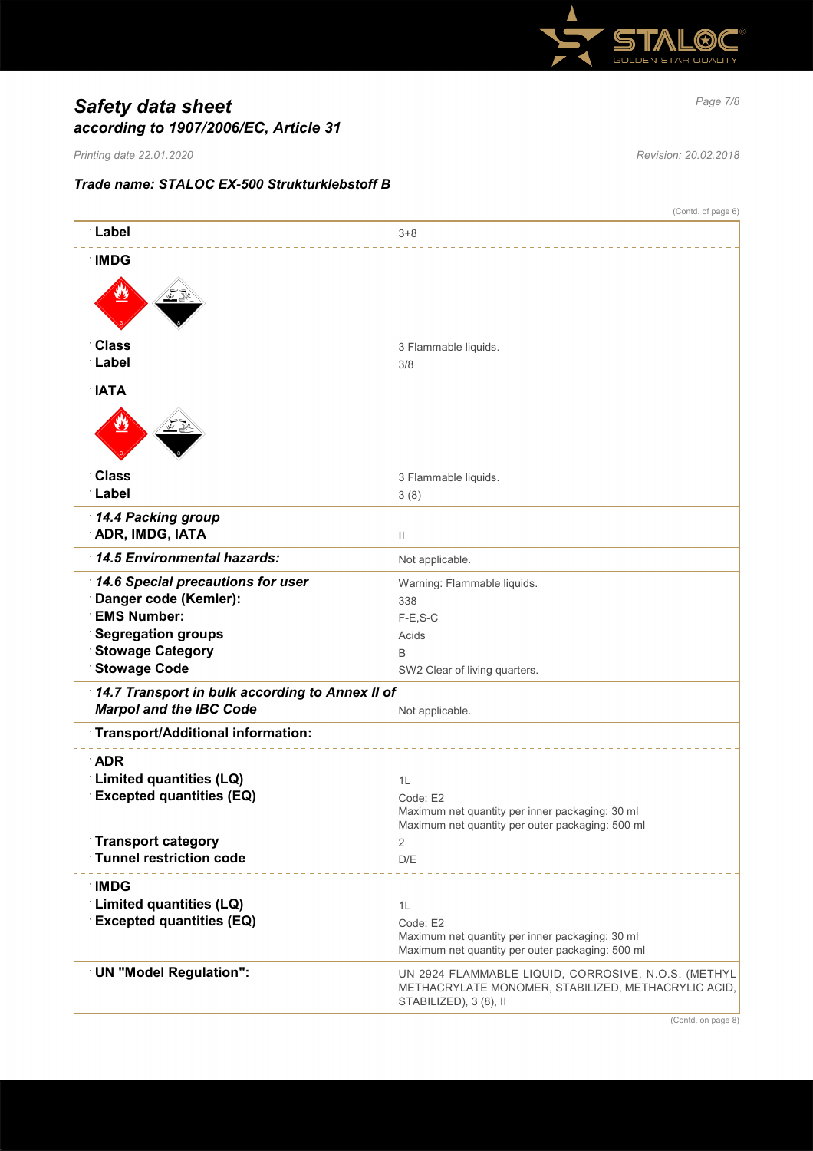

# *Page 7/8 Safety data sheet according to 1907/2006/EC, Article 31*

*Printing date 22.01.2020 Revision: 20.02.2018*

# *Trade name: STALOC EX-500 Strukturklebstoff B*

|                                                            | (Contd. of page 6)                                                                                                                   |  |  |  |
|------------------------------------------------------------|--------------------------------------------------------------------------------------------------------------------------------------|--|--|--|
| ∶Label                                                     | $3 + 8$                                                                                                                              |  |  |  |
| <b>IMDG</b>                                                |                                                                                                                                      |  |  |  |
|                                                            |                                                                                                                                      |  |  |  |
|                                                            |                                                                                                                                      |  |  |  |
|                                                            |                                                                                                                                      |  |  |  |
| <b>Class</b><br>∵Label                                     | 3 Flammable liquids.<br>3/8                                                                                                          |  |  |  |
|                                                            |                                                                                                                                      |  |  |  |
| <b>NATA</b>                                                |                                                                                                                                      |  |  |  |
|                                                            |                                                                                                                                      |  |  |  |
| <b>Class</b>                                               | 3 Flammable liquids.                                                                                                                 |  |  |  |
| Label                                                      | 3(8)                                                                                                                                 |  |  |  |
| 14.4 Packing group                                         |                                                                                                                                      |  |  |  |
| <b>ADR, IMDG, IATA</b>                                     | $\mathbf{H}$                                                                                                                         |  |  |  |
| 14.5 Environmental hazards:                                | Not applicable.                                                                                                                      |  |  |  |
| 14.6 Special precautions for user                          | Warning: Flammable liquids.                                                                                                          |  |  |  |
| Danger code (Kemler):<br><b>EMS Number:</b>                | 338                                                                                                                                  |  |  |  |
| <b>Segregation groups</b>                                  | $F-E$ , S-C<br>Acids                                                                                                                 |  |  |  |
| <b>Stowage Category</b>                                    | B                                                                                                                                    |  |  |  |
| <b>Stowage Code</b>                                        | SW2 Clear of living quarters.                                                                                                        |  |  |  |
| 14.7 Transport in bulk according to Annex II of            |                                                                                                                                      |  |  |  |
| <b>Marpol and the IBC Code</b>                             | Not applicable.                                                                                                                      |  |  |  |
| Transport/Additional information:                          |                                                                                                                                      |  |  |  |
| <b>ADR</b>                                                 |                                                                                                                                      |  |  |  |
| Limited quantities (LQ)<br><b>Excepted quantities (EQ)</b> | 1L                                                                                                                                   |  |  |  |
|                                                            | Code: E2<br>Maximum net quantity per inner packaging: 30 ml                                                                          |  |  |  |
| <b>Transport category</b>                                  | Maximum net quantity per outer packaging: 500 ml<br>2                                                                                |  |  |  |
| <b>Tunnel restriction code</b>                             | D/E                                                                                                                                  |  |  |  |
| ∴IMDG                                                      |                                                                                                                                      |  |  |  |
| Limited quantities (LQ)                                    | 1L                                                                                                                                   |  |  |  |
| <b>Excepted quantities (EQ)</b>                            | Code: E2                                                                                                                             |  |  |  |
|                                                            | Maximum net quantity per inner packaging: 30 ml<br>Maximum net quantity per outer packaging: 500 ml                                  |  |  |  |
| <b>UN "Model Regulation":</b>                              | UN 2924 FLAMMABLE LIQUID, CORROSIVE, N.O.S. (METHYL<br>METHACRYLATE MONOMER, STABILIZED, METHACRYLIC ACID,<br>STABILIZED), 3 (8), II |  |  |  |
|                                                            |                                                                                                                                      |  |  |  |